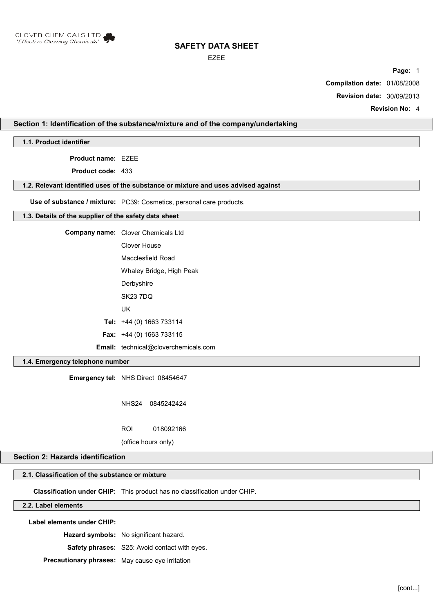

#### EZEE

**Page:** 1

**Compilation date:** 01/08/2008

**Revision date:** 30/09/2013

**Revision No:** 4

## **Section 1: Identification of the substance/mixture and of the company/undertaking**

**1.1. Product identifier**

**Product name:** EZEE

**Product code:** 433

#### **1.2. Relevant identified uses of the substance or mixture and uses advised against**

**Use of substance / mixture:** PC39: Cosmetics, personal care products.

#### **1.3. Details of the supplier of the safety data sheet**

**Company name:** Clover Chemicals Ltd Clover House Macclesfield Road

Whaley Bridge, High Peak

**Derbyshire** 

SK23 7DQ

UK

**Tel:** +44 (0) 1663 733114

**Fax:** +44 (0) 1663 733115

**Email:** technical@cloverchemicals.com

### **1.4. Emergency telephone number**

**Emergency tel:** NHS Direct 08454647

NHS24 0845242424

ROI 018092166

(office hours only)

### **Section 2: Hazards identification**

## **2.1. Classification of the substance or mixture**

**Classification under CHIP:** This product has no classification under CHIP.

### **2.2. Label elements**

**Label elements under CHIP:**

**Hazard symbols:** No significant hazard.

**Safety phrases:** S25: Avoid contact with eyes.

**Precautionary phrases:** May cause eye irritation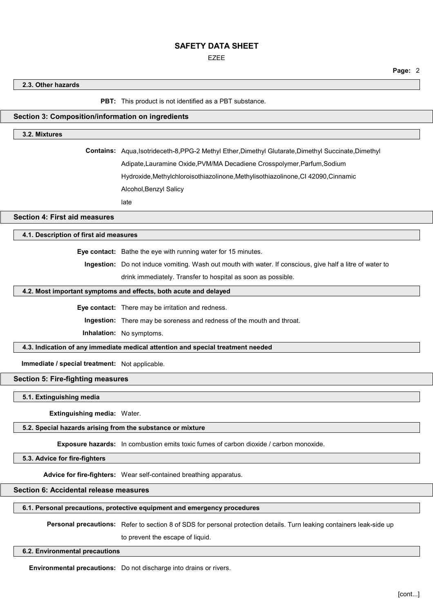EZEE

**Page:** 2

**2.3. Other hazards**

**PBT:** This product is not identified as a PBT substance.

### **Section 3: Composition/information on ingredients**

### **3.2. Mixtures**

**Contains:** Aqua,Isotrideceth-8,PPG-2 Methyl Ether,Dimethyl Glutarate,Dimethyl Succinate,Dimethyl

Adipate,Lauramine Oxide,PVM/MA Decadiene Crosspolymer,Parfum,Sodium

Hydroxide,Methylchloroisothiazolinone,Methylisothiazolinone,CI 42090,Cinnamic

Alcohol,Benzyl Salicy

late

**Section 4: First aid measures**

## **4.1. Description of first aid measures**

**Eye contact:** Bathe the eye with running water for 15 minutes.

**Ingestion:** Do not induce vomiting. Wash out mouth with water. If conscious, give half a litre of water to drink immediately. Transfer to hospital as soon as possible.

# **4.2. Most important symptoms and effects, both acute and delayed**

**Eye contact:** There may be irritation and redness.

**Ingestion:** There may be soreness and redness of the mouth and throat.

**Inhalation:** No symptoms.

### **4.3. Indication of any immediate medical attention and special treatment needed**

**Immediate / special treatment:** Not applicable.

**Section 5: Fire-fighting measures**

**5.1. Extinguishing media**

**Extinguishing media:** Water.

#### **5.2. Special hazards arising from the substance or mixture**

**Exposure hazards:** In combustion emits toxic fumes of carbon dioxide / carbon monoxide.

**5.3. Advice for fire-fighters**

**Advice for fire-fighters:** Wear self-contained breathing apparatus.

### **Section 6: Accidental release measures**

### **6.1. Personal precautions, protective equipment and emergency procedures**

**Personal precautions:** Refer to section 8 of SDS for personal protection details. Turn leaking containers leak-side up

to prevent the escape of liquid.

#### **6.2. Environmental precautions**

**Environmental precautions:** Do not discharge into drains or rivers.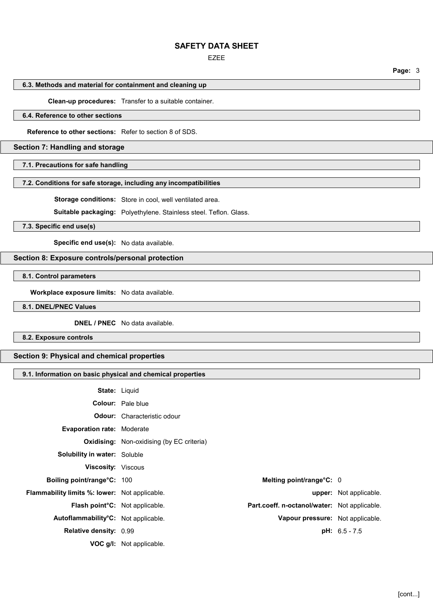#### EZEE

## **6.3. Methods and material for containment and cleaning up**

### **Clean-up procedures:** Transfer to a suitable container.

## **6.4. Reference to other sections**

**Reference to other sections:** Refer to section 8 of SDS.

### **Section 7: Handling and storage**

#### **7.1. Precautions for safe handling**

### **7.2. Conditions for safe storage, including any incompatibilities**

**Storage conditions:** Store in cool, well ventilated area.

**Suitable packaging:** Polyethylene. Stainless steel. Teflon. Glass.

**7.3. Specific end use(s)**

**Specific end use(s):** No data available.

### **Section 8: Exposure controls/personal protection**

**8.1. Control parameters**

**Workplace exposure limits:** No data available.

#### **8.1. DNEL/PNEC Values**

**DNEL / PNEC** No data available.

**8.2. Exposure controls**

# **Section 9: Physical and chemical properties**

## **9.1. Information on basic physical and chemical properties**

| <b>State: Liquid</b>                             |                                                  |                                  |
|--------------------------------------------------|--------------------------------------------------|----------------------------------|
|                                                  | <b>Colour:</b> Pale blue                         |                                  |
|                                                  | <b>Odour:</b> Characteristic odour               |                                  |
| <b>Evaporation rate: Moderate</b>                |                                                  |                                  |
|                                                  | <b>Oxidising:</b> Non-oxidising (by EC criteria) |                                  |
| <b>Solubility in water: Soluble</b>              |                                                  |                                  |
| <b>Viscosity:</b> Viscous                        |                                                  |                                  |
| <b>Boiling point/range°C: 100</b>                | Melting point/range°C: 0                         |                                  |
| Flammability limits %: lower: Not applicable.    |                                                  | <b>upper:</b> Not applicable.    |
| <b>Flash point C:</b> Not applicable.            | Part.coeff. n-octanol/water: Not applicable.     |                                  |
| Autoflammability <sup>°</sup> C: Not applicable. |                                                  | Vapour pressure: Not applicable. |
| <b>Relative density: 0.99</b>                    |                                                  | $pH: 6.5 - 7.5$                  |
|                                                  | <b>VOC g/l:</b> Not applicable.                  |                                  |

**Page:** 3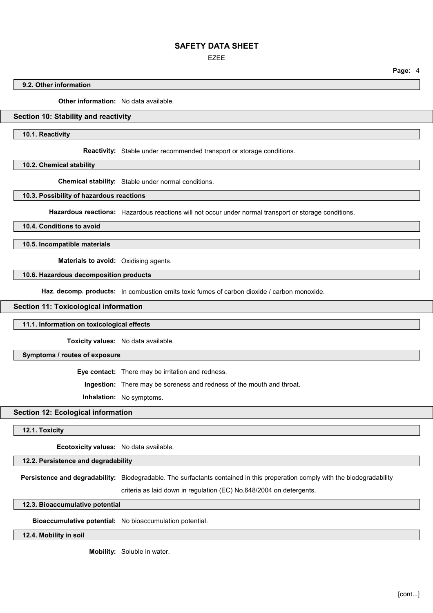EZEE

**Page:** 4

#### **9.2. Other information**

**Other information:** No data available.

### **Section 10: Stability and reactivity**

**10.1. Reactivity**

**Reactivity:** Stable under recommended transport or storage conditions.

**10.2. Chemical stability**

**Chemical stability:** Stable under normal conditions.

**10.3. Possibility of hazardous reactions**

**Hazardous reactions:** Hazardous reactions will not occur under normal transport or storage conditions.

**10.4. Conditions to avoid**

**10.5. Incompatible materials**

**Materials to avoid:** Oxidising agents.

**10.6. Hazardous decomposition products**

Haz. decomp. products: In combustion emits toxic fumes of carbon dioxide / carbon monoxide.

#### **Section 11: Toxicological information**

#### **11.1. Information on toxicological effects**

**Toxicity values:** No data available.

**Symptoms / routes of exposure**

**Eye contact:** There may be irritation and redness.

**Ingestion:** There may be soreness and redness of the mouth and throat.

**Inhalation:** No symptoms.

### **Section 12: Ecological information**

**12.1. Toxicity**

**Ecotoxicity values:** No data available.

**12.2. Persistence and degradability**

**Persistence and degradability:** Biodegradable. The surfactants contained in this preperation comply with the biodegradability

criteria as laid down in regulation (EC) No.648/2004 on detergents.

**12.3. Bioaccumulative potential**

**Bioaccumulative potential:** No bioaccumulation potential.

**12.4. Mobility in soil**

**Mobility:** Soluble in water.